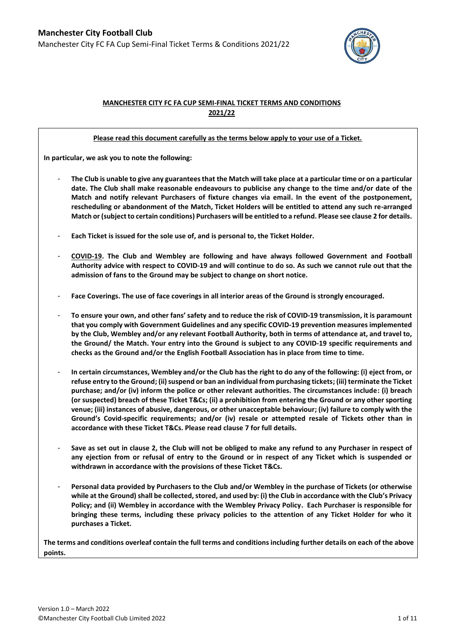

# **MANCHESTER CITY FC FA CUP SEMI-FINAL TICKET TERMS AND CONDITIONS 2021/22**

### **Please read this document carefully as the terms below apply to your use of a Ticket.**

**In particular, we ask you to note the following:** 

- **The Club is unable to give any guarantees that the Match will take place at a particular time or on a particular date. The Club shall make reasonable endeavours to publicise any change to the time and/or date of the Match and notify relevant Purchasers of fixture changes via email. In the event of the postponement, rescheduling or abandonment of the Match, Ticket Holders will be entitled to attend any such re-arranged Match or (subject to certain conditions) Purchasers will be entitled to a refund. Please see claus[e 2](#page-2-0) for details.**
- **Each Ticket is issued for the sole use of, and is personal to, the Ticket Holder.**
- **COVID-19. The Club and Wembley are following and have always followed Government and Football Authority advice with respect to COVID-19 and will continue to do so. As such we cannot rule out that the admission of fans to the Ground may be subject to change on short notice.**
- Face Coverings. The use of face coverings in all interior areas of the Ground is strongly encouraged.
- **To ensure your own, and other fans' safety and to reduce the risk of COVID-19 transmission, it is paramount that you comply with Government Guidelines and any specific COVID-19 prevention measures implemented by the Club, Wembley and/or any relevant Football Authority, both in terms of attendance at, and travel to, the Ground/ the Match. Your entry into the Ground is subject to any COVID-19 specific requirements and checks as the Ground and/or the English Football Association has in place from time to time.**
- **In certain circumstances, Wembley and/or the Club has the right to do any of the following: (i) eject from, or refuse entry to the Ground; (ii) suspend or ban an individual from purchasing tickets; (iii) terminate the Ticket purchase; and/or (iv) inform the police or other relevant authorities. The circumstances include: (i) breach (or suspected) breach of these Ticket T&Cs; (ii) a prohibition from entering the Ground or any other sporting venue; (iii) instances of abusive, dangerous, or other unacceptable behaviour; (iv) failure to comply with the Ground's Covid-specific requirements; and/or (iv) resale or attempted resale of Tickets other than in accordance with these Ticket T&Cs. Please read claus[e 7](#page-6-0) for full details.**
- **Save as set out in clause [2,](#page-2-0) the Club will not be obliged to make any refund to any Purchaser in respect of any ejection from or refusal of entry to the Ground or in respect of any Ticket which is suspended or withdrawn in accordance with the provisions of these Ticket T&Cs.**
- **Personal data provided by Purchasers to the Club and/or Wembley in the purchase of Tickets (or otherwise while at the Ground) shall be collected, stored, and used by: (i) the Club in accordance with the Club's Privacy Policy; and (ii) Wembley in accordance with the Wembley Privacy Policy. Each Purchaser is responsible for bringing these terms, including these privacy policies to the attention of any Ticket Holder for who it purchases a Ticket.**

**The terms and conditions overleaf contain the full terms and conditions including further details on each of the above points.**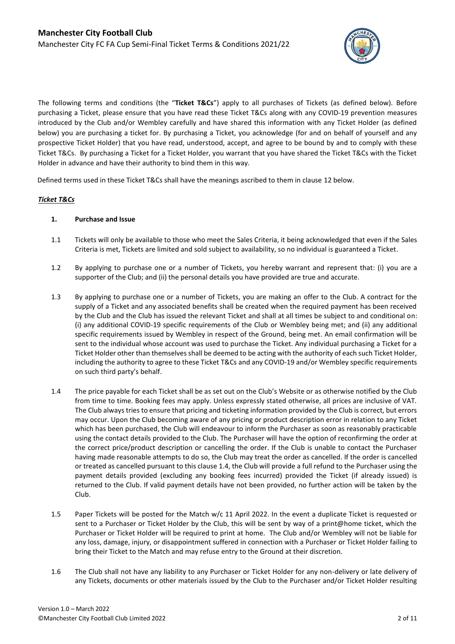

The following terms and conditions (the "**Ticket T&Cs**") apply to all purchases of Tickets (as defined below). Before purchasing a Ticket, please ensure that you have read these Ticket T&Cs along with any COVID-19 prevention measures introduced by the Club and/or Wembley carefully and have shared this information with any Ticket Holder (as defined below) you are purchasing a ticket for. By purchasing a Ticket, you acknowledge (for and on behalf of yourself and any prospective Ticket Holder) that you have read, understood, accept, and agree to be bound by and to comply with these Ticket T&Cs. By purchasing a Ticket for a Ticket Holder, you warrant that you have shared the Ticket T&Cs with the Ticket Holder in advance and have their authority to bind them in this way.

Defined terms used in these Ticket T&Cs shall have the meanings ascribed to them in claus[e 12](#page-9-0) below.

# *Ticket T&Cs*

### **1. Purchase and Issue**

- 1.1 Tickets will only be available to those who meet the Sales Criteria, it being acknowledged that even if the Sales Criteria is met, Tickets are limited and sold subject to availability, so no individual is guaranteed a Ticket.
- <span id="page-1-1"></span>1.2 By applying to purchase one or a number of Tickets, you hereby warrant and represent that: (i) you are a supporter of the Club; and (ii) the personal details you have provided are true and accurate.
- 1.3 By applying to purchase one or a number of Tickets, you are making an offer to the Club. A contract for the supply of a Ticket and any associated benefits shall be created when the required payment has been received by the Club and the Club has issued the relevant Ticket and shall at all times be subject to and conditional on: (i) any additional COVID-19 specific requirements of the Club or Wembley being met; and (ii) any additional specific requirements issued by Wembley in respect of the Ground, being met. An email confirmation will be sent to the individual whose account was used to purchase the Ticket. Any individual purchasing a Ticket for a Ticket Holder other than themselves shall be deemed to be acting with the authority of each such Ticket Holder, including the authority to agree to these Ticket T&Cs and any COVID-19 and/or Wembley specific requirements on such third party's behalf.
- <span id="page-1-0"></span>1.4 The price payable for each Ticket shall be as set out on the Club's Website or as otherwise notified by the Club from time to time. Booking fees may apply. Unless expressly stated otherwise, all prices are inclusive of VAT. The Club always tries to ensure that pricing and ticketing information provided by the Club is correct, but errors may occur. Upon the Club becoming aware of any pricing or product description error in relation to any Ticket which has been purchased, the Club will endeavour to inform the Purchaser as soon as reasonably practicable using the contact details provided to the Club. The Purchaser will have the option of reconfirming the order at the correct price/product description or cancelling the order. If the Club is unable to contact the Purchaser having made reasonable attempts to do so, the Club may treat the order as cancelled. If the order is cancelled or treated as cancelled pursuant to this claus[e 1.4,](#page-1-0) the Club will provide a full refund to the Purchaser using the payment details provided (excluding any booking fees incurred) provided the Ticket (if already issued) is returned to the Club. If valid payment details have not been provided, no further action will be taken by the Club.
- 1.5 Paper Tickets will be posted for the Match w/c 11 April 2022. In the event a duplicate Ticket is requested or sent to a Purchaser or Ticket Holder by the Club, this will be sent by way of a print@home ticket, which the Purchaser or Ticket Holder will be required to print at home. The Club and/or Wembley will not be liable for any loss, damage, injury, or disappointment suffered in connection with a Purchaser or Ticket Holder failing to bring their Ticket to the Match and may refuse entry to the Ground at their discretion.
- 1.6 The Club shall not have any liability to any Purchaser or Ticket Holder for any non-delivery or late delivery of any Tickets, documents or other materials issued by the Club to the Purchaser and/or Ticket Holder resulting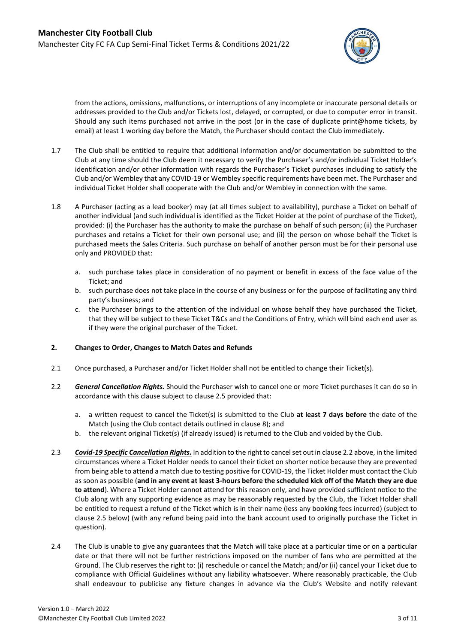

from the actions, omissions, malfunctions, or interruptions of any incomplete or inaccurate personal details or addresses provided to the Club and/or Tickets lost, delayed, or corrupted, or due to computer error in transit. Should any such items purchased not arrive in the post (or in the case of duplicate print@home tickets, by email) at least 1 working day before the Match, the Purchaser should contact the Club immediately.

- 1.7 The Club shall be entitled to require that additional information and/or documentation be submitted to the Club at any time should the Club deem it necessary to verify the Purchaser's and/or individual Ticket Holder's identification and/or other information with regards the Purchaser's Ticket purchases including to satisfy the Club and/or Wembley that any COVID-19 or Wembley specific requirements have been met. The Purchaser and individual Ticket Holder shall cooperate with the Club and/or Wembley in connection with the same.
- <span id="page-2-3"></span>1.8 A Purchaser (acting as a lead booker) may (at all times subject to availability), purchase a Ticket on behalf of another individual (and such individual is identified as the Ticket Holder at the point of purchase of the Ticket), provided: (i) the Purchaser has the authority to make the purchase on behalf of such person; (ii) the Purchaser purchases and retains a Ticket for their own personal use; and (ii) the person on whose behalf the Ticket is purchased meets the Sales Criteria. Such purchase on behalf of another person must be for their personal use only and PROVIDED that:
	- a. such purchase takes place in consideration of no payment or benefit in excess of the face value of the Ticket; and
	- b. such purchase does not take place in the course of any business or for the purpose of facilitating any third party's business; and
	- c. the Purchaser brings to the attention of the individual on whose behalf they have purchased the Ticket, that they will be subject to these Ticket T&Cs and the Conditions of Entry, which will bind each end user as if they were the original purchaser of the Ticket.

# <span id="page-2-0"></span>**2. Changes to Order, Changes to Match Dates and Refunds**

- 2.1 Once purchased, a Purchaser and/or Ticket Holder shall not be entitled to change their Ticket(s).
- <span id="page-2-1"></span>2.2 *General Cancellation Rights.* Should the Purchaser wish to cancel one or more Ticket purchases it can do so in accordance with this clause subject to claus[e 2.5](#page-3-0) provided that:
	- a. a written request to cancel the Ticket(s) is submitted to the Club **at least 7 days before** the date of the Match (using the Club contact details outlined in claus[e 8\)](#page-8-0); and
	- b. the relevant original Ticket(s) (if already issued) is returned to the Club and voided by the Club.
- 2.3 *Covid-19 Specific Cancellation Rights.* In addition to the right to cancel set out in claus[e 2.2](#page-2-1) above, in the limited circumstances where a Ticket Holder needs to cancel their ticket on shorter notice because they are prevented from being able to attend a match due to testing positive for COVID-19, the Ticket Holder must contact the Club as soon as possible (**and in any event at least 3-hours before the scheduled kick off of the Match they are due to attend**). Where a Ticket Holder cannot attend for this reason only, and have provided sufficient notice to the Club along with any supporting evidence as may be reasonably requested by the Club, the Ticket Holder shall be entitled to request a refund of the Ticket which is in their name (less any booking fees incurred) (subject to clause [2.5](#page-3-0) below) (with any refund being paid into the bank account used to originally purchase the Ticket in question).
- <span id="page-2-2"></span>2.4 The Club is unable to give any guarantees that the Match will take place at a particular time or on a particular date or that there will not be further restrictions imposed on the number of fans who are permitted at the Ground. The Club reserves the right to: (i) reschedule or cancel the Match; and/or (ii) cancel your Ticket due to compliance with Official Guidelines without any liability whatsoever. Where reasonably practicable, the Club shall endeavour to publicise any fixture changes in advance via the Club's Website and notify relevant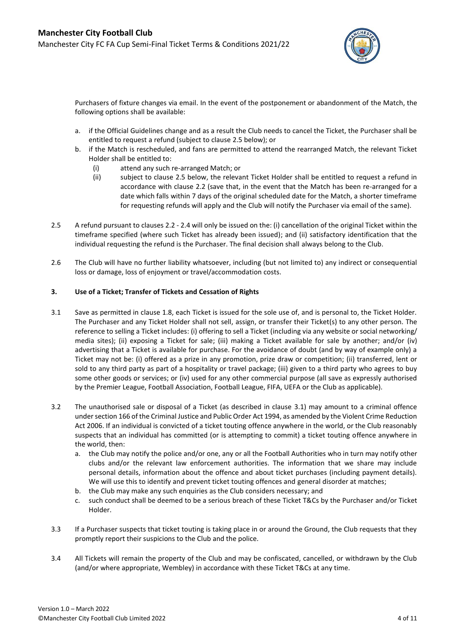

Purchasers of fixture changes via email. In the event of the postponement or abandonment of the Match, the following options shall be available:

- a. if the Official Guidelines change and as a result the Club needs to cancel the Ticket, the Purchaser shall be entitled to request a refund (subject to claus[e 2.5](#page-3-0) below); or
- b. if the Match is rescheduled, and fans are permitted to attend the rearranged Match, the relevant Ticket Holder shall be entitled to:
	- (i) attend any such re-arranged Match; or
	- (ii) subject to clause [2.5](#page-3-0) below, the relevant Ticket Holder shall be entitled to request a refund in accordance with clause [2.2](#page-2-1) (save that, in the event that the Match has been re-arranged for a date which falls within 7 days of the original scheduled date for the Match, a shorter timeframe for requesting refunds will apply and the Club will notify the Purchaser via email of the same).
- <span id="page-3-0"></span>2.5 A refund pursuant to clause[s 2.2](#page-2-1) - [2.4](#page-2-2) will only be issued on the: (i) cancellation of the original Ticket within the timeframe specified (where such Ticket has already been issued); and (ii) satisfactory identification that the individual requesting the refund is the Purchaser. The final decision shall always belong to the Club.
- 2.6 The Club will have no further liability whatsoever, including (but not limited to) any indirect or consequential loss or damage, loss of enjoyment or travel/accommodation costs.

### **3. Use of a Ticket; Transfer of Tickets and Cessation of Rights**

- <span id="page-3-1"></span>3.1 Save as permitted in clause [1.8,](#page-2-3) each Ticket is issued for the sole use of, and is personal to, the Ticket Holder. The Purchaser and any Ticket Holder shall not sell, assign, or transfer their Ticket(s) to any other person. The reference to selling a Ticket includes: (i) offering to sell a Ticket (including via any website or social networking/ media sites); (ii) exposing a Ticket for sale; (iii) making a Ticket available for sale by another; and/or (iv) advertising that a Ticket is available for purchase. For the avoidance of doubt (and by way of example only) a Ticket may not be: (i) offered as a prize in any promotion, prize draw or competition; (ii) transferred, lent or sold to any third party as part of a hospitality or travel package; (iii) given to a third party who agrees to buy some other goods or services; or (iv) used for any other commercial purpose (all save as expressly authorised by the Premier League, Football Association, Football League, FIFA, UEFA or the Club as applicable).
- <span id="page-3-2"></span>3.2 The unauthorised sale or disposal of a Ticket (as described in clause [3.1\)](#page-3-1) may amount to a criminal offence under section 166 of the Criminal Justice and Public Order Act 1994, as amended by the Violent Crime Reduction Act 2006. If an individual is convicted of a ticket touting offence anywhere in the world, or the Club reasonably suspects that an individual has committed (or is attempting to commit) a ticket touting offence anywhere in the world, then:
	- a. the Club may notify the police and/or one, any or all the Football Authorities who in turn may notify other clubs and/or the relevant law enforcement authorities. The information that we share may include personal details, information about the offence and about ticket purchases (including payment details). We will use this to identify and prevent ticket touting offences and general disorder at matches;
	- b. the Club may make any such enquiries as the Club considers necessary; and
	- c. such conduct shall be deemed to be a serious breach of these Ticket T&Cs by the Purchaser and/or Ticket Holder.
- 3.3 If a Purchaser suspects that ticket touting is taking place in or around the Ground, the Club requests that they promptly report their suspicions to the Club and the police.
- 3.4 All Tickets will remain the property of the Club and may be confiscated, cancelled, or withdrawn by the Club (and/or where appropriate, Wembley) in accordance with these Ticket T&Cs at any time.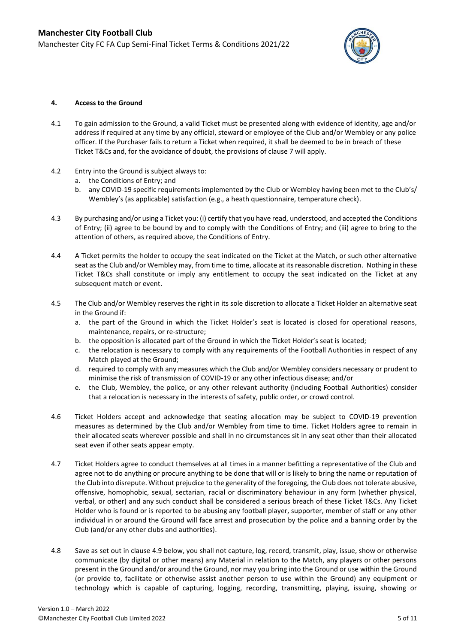

#### **4. Access to the Ground**

- 4.1 To gain admission to the Ground, a valid Ticket must be presented along with evidence of identity, age and/or address if required at any time by any official, steward or employee of the Club and/or Wembley or any police officer. If the Purchaser fails to return a Ticket when required, it shall be deemed to be in breach of these Ticket T&Cs and, for the avoidance of doubt, the provisions of clause 7 will apply.
- 4.2 Entry into the Ground is subject always to:
	- a. the Conditions of Entry; and
	- b. any COVID-19 specific requirements implemented by the Club or Wembley having been met to the Club's/ Wembley's (as applicable) satisfaction (e.g., a heath questionnaire, temperature check).
- 4.3 By purchasing and/or using a Ticket you: (i) certify that you have read, understood, and accepted the Conditions of Entry; (ii) agree to be bound by and to comply with the Conditions of Entry; and (iii) agree to bring to the attention of others, as required above, the Conditions of Entry.
- 4.4 A Ticket permits the holder to occupy the seat indicated on the Ticket at the Match, or such other alternative seat as the Club and/or Wembley may, from time to time, allocate at its reasonable discretion. Nothing in these Ticket T&Cs shall constitute or imply any entitlement to occupy the seat indicated on the Ticket at any subsequent match or event.
- 4.5 The Club and/or Wembley reserves the right in its sole discretion to allocate a Ticket Holder an alternative seat in the Ground if:
	- a. the part of the Ground in which the Ticket Holder's seat is located is closed for operational reasons, maintenance, repairs, or re-structure;
	- b. the opposition is allocated part of the Ground in which the Ticket Holder's seat is located;
	- c. the relocation is necessary to comply with any requirements of the Football Authorities in respect of any Match played at the Ground;
	- d. required to comply with any measures which the Club and/or Wembley considers necessary or prudent to minimise the risk of transmission of COVID-19 or any other infectious disease; and/or
	- e. the Club, Wembley, the police, or any other relevant authority (including Football Authorities) consider that a relocation is necessary in the interests of safety, public order, or crowd control.
- 4.6 Ticket Holders accept and acknowledge that seating allocation may be subject to COVID-19 prevention measures as determined by the Club and/or Wembley from time to time. Ticket Holders agree to remain in their allocated seats wherever possible and shall in no circumstances sit in any seat other than their allocated seat even if other seats appear empty.
- <span id="page-4-0"></span>4.7 Ticket Holders agree to conduct themselves at all times in a manner befitting a representative of the Club and agree not to do anything or procure anything to be done that will or is likely to bring the name or reputation of the Club into disrepute. Without prejudice to the generality of the foregoing, the Club does not tolerate abusive, offensive, homophobic, sexual, sectarian, racial or discriminatory behaviour in any form (whether physical, verbal, or other) and any such conduct shall be considered a serious breach of these Ticket T&Cs. Any Ticket Holder who is found or is reported to be abusing any football player, supporter, member of staff or any other individual in or around the Ground will face arrest and prosecution by the police and a banning order by the Club (and/or any other clubs and authorities).
- <span id="page-4-1"></span>4.8 Save as set out in clause [4.9](#page-5-0) below, you shall not capture, log, record, transmit, play, issue, show or otherwise communicate (by digital or other means) any Material in relation to the Match, any players or other persons present in the Ground and/or around the Ground, nor may you bring into the Ground or use within the Ground (or provide to, facilitate or otherwise assist another person to use within the Ground) any equipment or technology which is capable of capturing, logging, recording, transmitting, playing, issuing, showing or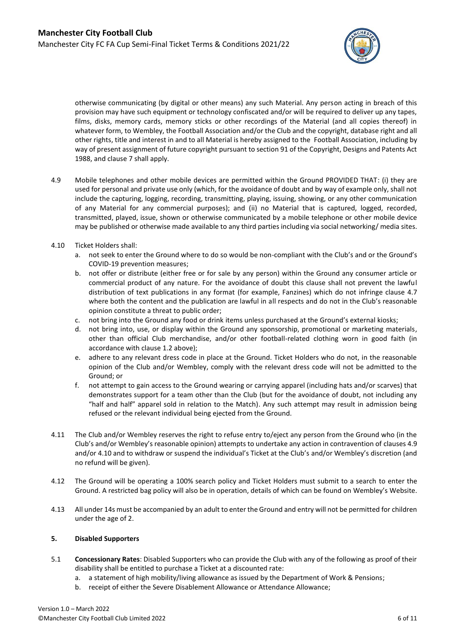

otherwise communicating (by digital or other means) any such Material. Any person acting in breach of this provision may have such equipment or technology confiscated and/or will be required to deliver up any tapes, films, disks, memory cards, memory sticks or other recordings of the Material (and all copies thereof) in whatever form, to Wembley, the Football Association and/or the Club and the copyright, database right and all other rights, title and interest in and to all Material is hereby assigned to the Football Association, including by way of present assignment of future copyright pursuant to section 91 of the Copyright, Designs and Patents Act 1988, and claus[e 7](#page-6-0) shall apply.

- <span id="page-5-0"></span>4.9 Mobile telephones and other mobile devices are permitted within the Ground PROVIDED THAT: (i) they are used for personal and private use only (which, for the avoidance of doubt and by way of example only, shall not include the capturing, logging, recording, transmitting, playing, issuing, showing, or any other communication of any Material for any commercial purposes); and (ii) no Material that is captured, logged, recorded, transmitted, played, issue, shown or otherwise communicated by a mobile telephone or other mobile device may be published or otherwise made available to any third parties including via social networking/ media sites.
- <span id="page-5-1"></span>4.10 Ticket Holders shall:
	- a. not seek to enter the Ground where to do so would be non-compliant with the Club's and or the Ground's COVID-19 prevention measures;
	- b. not offer or distribute (either free or for sale by any person) within the Ground any consumer article or commercial product of any nature. For the avoidance of doubt this clause shall not prevent the lawful distribution of text publications in any format (for example, Fanzines) which do not infringe clause [4.7](#page-4-0) where both the content and the publication are lawful in all respects and do not in the Club's reasonable opinion constitute a threat to public order;
	- c. not bring into the Ground any food or drink items unless purchased at the Ground's external kiosks;
	- d. not bring into, use, or display within the Ground any sponsorship, promotional or marketing materials, other than official Club merchandise, and/or other football-related clothing worn in good faith (in accordance with clause [1.2](#page-1-1) above);
	- e. adhere to any relevant dress code in place at the Ground. Ticket Holders who do not, in the reasonable opinion of the Club and/or Wembley, comply with the relevant dress code will not be admitted to the Ground; or
	- f. not attempt to gain access to the Ground wearing or carrying apparel (including hats and/or scarves) that demonstrates support for a team other than the Club (but for the avoidance of doubt, not including any "half and half" apparel sold in relation to the Match). Any such attempt may result in admission being refused or the relevant individual being ejected from the Ground.
- 4.11 The Club and/or Wembley reserves the right to refuse entry to/eject any person from the Ground who (in the Club's and/or Wembley's reasonable opinion) attempts to undertake any action in contravention of clauses [4.9](#page-5-0) and/o[r 4.10](#page-5-1) and to withdraw or suspend the individual's Ticket at the Club's and/or Wembley's discretion (and no refund will be given).
- 4.12 The Ground will be operating a 100% search policy and Ticket Holders must submit to a search to enter the Ground. A restricted bag policy will also be in operation, details of which can be found on Wembley's Website.
- 4.13 All under 14s must be accompanied by an adult to enter the Ground and entry will not be permitted for children under the age of 2.

### **5. Disabled Supporters**

- 5.1 **Concessionary Rates**: Disabled Supporters who can provide the Club with any of the following as proof of their disability shall be entitled to purchase a Ticket at a discounted rate:
	- a. a statement of high mobility/living allowance as issued by the Department of Work & Pensions;
	- b. receipt of either the Severe Disablement Allowance or Attendance Allowance;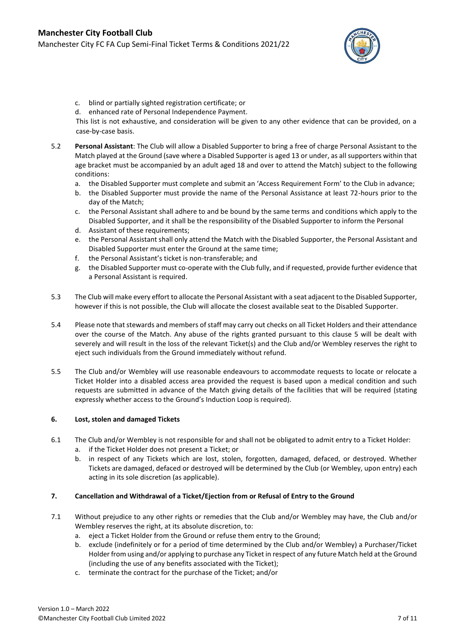

- c. blind or partially sighted registration certificate; or
- d. enhanced rate of Personal Independence Payment.

This list is not exhaustive, and consideration will be given to any other evidence that can be provided, on a case-by-case basis.

- 5.2 **Personal Assistant**: The Club will allow a Disabled Supporter to bring a free of charge Personal Assistant to the Match played at the Ground (save where a Disabled Supporter is aged 13 or under, as all supporters within that age bracket must be accompanied by an adult aged 18 and over to attend the Match) subject to the following conditions:
	- a. the Disabled Supporter must complete and submit an 'Access Requirement Form' to the Club in advance;
	- b. the Disabled Supporter must provide the name of the Personal Assistance at least 72-hours prior to the day of the Match;
	- c. the Personal Assistant shall adhere to and be bound by the same terms and conditions which apply to the Disabled Supporter, and it shall be the responsibility of the Disabled Supporter to inform the Personal
	- d. Assistant of these requirements;
	- e. the Personal Assistant shall only attend the Match with the Disabled Supporter, the Personal Assistant and Disabled Supporter must enter the Ground at the same time;
	- f. the Personal Assistant's ticket is non-transferable; and
	- g. the Disabled Supporter must co-operate with the Club fully, and if requested, provide further evidence that a Personal Assistant is required.
- 5.3 The Club will make every effort to allocate the Personal Assistant with a seat adjacent to the Disabled Supporter, however if this is not possible, the Club will allocate the closest available seat to the Disabled Supporter.
- 5.4 Please note that stewards and members of staff may carry out checks on all Ticket Holders and their attendance over the course of the Match. Any abuse of the rights granted pursuant to this clause 5 will be dealt with severely and will result in the loss of the relevant Ticket(s) and the Club and/or Wembley reserves the right to eject such individuals from the Ground immediately without refund.
- 5.5 The Club and/or Wembley will use reasonable endeavours to accommodate requests to locate or relocate a Ticket Holder into a disabled access area provided the request is based upon a medical condition and such requests are submitted in advance of the Match giving details of the facilities that will be required (stating expressly whether access to the Ground's Induction Loop is required).

# **6. Lost, stolen and damaged Tickets**

- 6.1 The Club and/or Wembley is not responsible for and shall not be obligated to admit entry to a Ticket Holder:
	- a. if the Ticket Holder does not present a Ticket; or
	- b. in respect of any Tickets which are lost, stolen, forgotten, damaged, defaced, or destroyed. Whether Tickets are damaged, defaced or destroyed will be determined by the Club (or Wembley, upon entry) each acting in its sole discretion (as applicable).

### <span id="page-6-0"></span>**7. Cancellation and Withdrawal of a Ticket/Ejection from or Refusal of Entry to the Ground**

- <span id="page-6-1"></span>7.1 Without prejudice to any other rights or remedies that the Club and/or Wembley may have, the Club and/or Wembley reserves the right, at its absolute discretion, to:
	- a. eject a Ticket Holder from the Ground or refuse them entry to the Ground;
	- b. exclude (indefinitely or for a period of time determined by the Club and/or Wembley) a Purchaser/Ticket Holder from using and/or applying to purchase any Ticket in respect of any future Match held at the Ground (including the use of any benefits associated with the Ticket);
	- c. terminate the contract for the purchase of the Ticket; and/or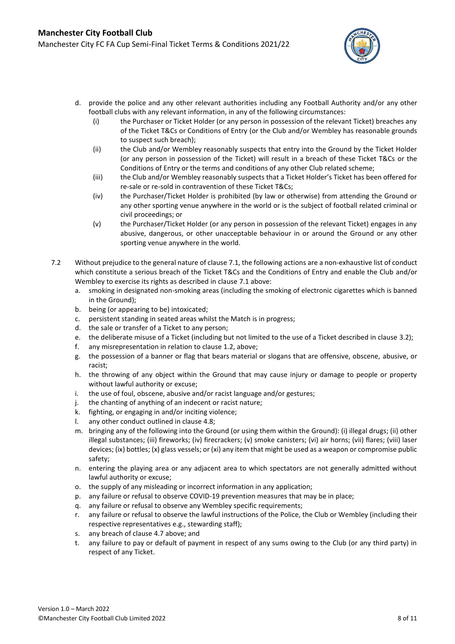

- d. provide the police and any other relevant authorities including any Football Authority and/or any other football clubs with any relevant information, in any of the following circumstances:
	- (i) the Purchaser or Ticket Holder (or any person in possession of the relevant Ticket) breaches any of the Ticket T&Cs or Conditions of Entry (or the Club and/or Wembley has reasonable grounds to suspect such breach);
	- (ii) the Club and/or Wembley reasonably suspects that entry into the Ground by the Ticket Holder (or any person in possession of the Ticket) will result in a breach of these Ticket T&Cs or the Conditions of Entry or the terms and conditions of any other Club related scheme;
	- (iii) the Club and/or Wembley reasonably suspects that a Ticket Holder's Ticket has been offered for re-sale or re-sold in contravention of these Ticket T&Cs;
	- (iv) the Purchaser/Ticket Holder is prohibited (by law or otherwise) from attending the Ground or any other sporting venue anywhere in the world or is the subject of football related criminal or civil proceedings; or
	- (v) the Purchaser/Ticket Holder (or any person in possession of the relevant Ticket) engages in any abusive, dangerous, or other unacceptable behaviour in or around the Ground or any other sporting venue anywhere in the world.
- 7.2 Without prejudice to the general nature of claus[e 7.1,](#page-6-1) the following actions are a non-exhaustive list of conduct which constitute a serious breach of the Ticket T&Cs and the Conditions of Entry and enable the Club and/or Wembley to exercise its rights as described in clause [7.1](#page-6-1) above:
	- a. smoking in designated non-smoking areas (including the smoking of electronic cigarettes which is banned in the Ground);
	- b. being (or appearing to be) intoxicated;
	- c. persistent standing in seated areas whilst the Match is in progress;
	- d. the sale or transfer of a Ticket to any person;
	- e. the deliberate misuse of a Ticket (including but not limited to the use of a Ticket described in claus[e 3.2\)](#page-3-2);
	- f. any misrepresentation in relation to claus[e 1.2,](#page-1-1) above;
	- g. the possession of a banner or flag that bears material or slogans that are offensive, obscene, abusive, or racist;
	- h. the throwing of any object within the Ground that may cause injury or damage to people or property without lawful authority or excuse;
	- i. the use of foul, obscene, abusive and/or racist language and/or gestures;
	- j. the chanting of anything of an indecent or racist nature;
	- k. fighting, or engaging in and/or inciting violence;
	- l. any other conduct outlined in claus[e 4.8;](#page-4-1)
	- m. bringing any of the following into the Ground (or using them within the Ground): (i) illegal drugs; (ii) other illegal substances; (iii) fireworks; (iv) firecrackers; (v) smoke canisters; (vi) air horns; (vii) flares; (viii) laser devices; (ix) bottles; (x) glass vessels; or (xi) any item that might be used as a weapon or compromise public safety;
	- n. entering the playing area or any adjacent area to which spectators are not generally admitted without lawful authority or excuse;
	- o. the supply of any misleading or incorrect information in any application;
	- p. any failure or refusal to observe COVID-19 prevention measures that may be in place;
	- q. any failure or refusal to observe any Wembley specific requirements;
	- r. any failure or refusal to observe the lawful instructions of the Police, the Club or Wembley (including their respective representatives e.g., stewarding staff);
	- s. any breach of claus[e 4.7](#page-4-0) above; and
	- t. any failure to pay or default of payment in respect of any sums owing to the Club (or any third party) in respect of any Ticket.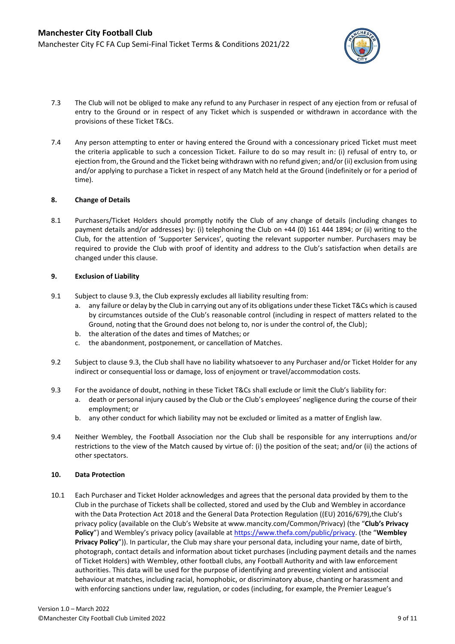

- 7.3 The Club will not be obliged to make any refund to any Purchaser in respect of any ejection from or refusal of entry to the Ground or in respect of any Ticket which is suspended or withdrawn in accordance with the provisions of these Ticket T&Cs.
- 7.4 Any person attempting to enter or having entered the Ground with a concessionary priced Ticket must meet the criteria applicable to such a concession Ticket. Failure to do so may result in: (i) refusal of entry to, or ejection from, the Ground and the Ticket being withdrawn with no refund given; and/or (ii) exclusion from using and/or applying to purchase a Ticket in respect of any Match held at the Ground (indefinitely or for a period of time).

### <span id="page-8-0"></span>**8. Change of Details**

8.1 Purchasers/Ticket Holders should promptly notify the Club of any change of details (including changes to payment details and/or addresses) by: (i) telephoning the Club on +44 (0) 161 444 1894; or (ii) writing to the Club, for the attention of 'Supporter Services', quoting the relevant supporter number. Purchasers may be required to provide the Club with proof of identity and address to the Club's satisfaction when details are changed under this clause.

### **9. Exclusion of Liability**

- 9.1 Subject to clause [9.3,](#page-8-1) the Club expressly excludes all liability resulting from:
	- a. any failure or delay by the Club in carrying out any of its obligations under these Ticket T&Cs which is caused by circumstances outside of the Club's reasonable control (including in respect of matters related to the Ground, noting that the Ground does not belong to, nor is under the control of, the Club);
	- b. the alteration of the dates and times of Matches; or
	- c. the abandonment, postponement, or cancellation of Matches.
- 9.2 Subject to clause [9.3,](#page-8-1) the Club shall have no liability whatsoever to any Purchaser and/or Ticket Holder for any indirect or consequential loss or damage, loss of enjoyment or travel/accommodation costs.
- <span id="page-8-1"></span>9.3 For the avoidance of doubt, nothing in these Ticket T&Cs shall exclude or limit the Club's liability for:
	- a. death or personal injury caused by the Club or the Club's employees' negligence during the course of their employment; or
	- b. any other conduct for which liability may not be excluded or limited as a matter of English law.
- 9.4 Neither Wembley, the Football Association nor the Club shall be responsible for any interruptions and/or restrictions to the view of the Match caused by virtue of: (i) the position of the seat; and/or (ii) the actions of other spectators.

### **10. Data Protection**

10.1 Each Purchaser and Ticket Holder acknowledges and agrees that the personal data provided by them to the Club in the purchase of Tickets shall be collected, stored and used by the Club and Wembley in accordance with the Data Protection Act 2018 and the General Data Protection Regulation ((EU) 2016/679), the Club's privacy policy (available on the Club's Website a[t www.mancity.com/Common/Privacy\)](http://www.mancity.com/Common/Privacy) (the "**Club's Privacy Policy**") and Wembley's privacy policy (available a[t https://www.thefa.com/public/privacy.](https://www.thefa.com/public/privacy) (the "**Wembley Privacy Policy**")). In particular, the Club may share your personal data, including your name, date of birth, photograph, contact details and information about ticket purchases (including payment details and the names of Ticket Holders) with Wembley, other football clubs, any Football Authority and with law enforcement authorities. This data will be used for the purpose of identifying and preventing violent and antisocial behaviour at matches, including racial, homophobic, or discriminatory abuse, chanting or harassment and with enforcing sanctions under law, regulation, or codes (including, for example, the Premier League's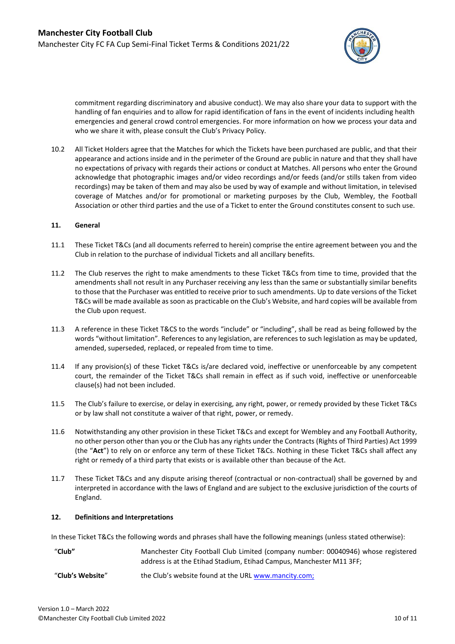

commitment regarding discriminatory and abusive conduct). We may also share your data to support with the handling of fan enquiries and to allow for rapid identification of fans in the event of incidents including health emergencies and general crowd control emergencies. For more information on how we process your data and who we share it with, please consult the Club's Privacy Policy.

10.2 All Ticket Holders agree that the Matches for which the Tickets have been purchased are public, and that their appearance and actions inside and in the perimeter of the Ground are public in nature and that they shall have no expectations of privacy with regards their actions or conduct at Matches. All persons who enter the Ground acknowledge that photographic images and/or video recordings and/or feeds (and/or stills taken from video recordings) may be taken of them and may also be used by way of example and without limitation, in televised coverage of Matches and/or for promotional or marketing purposes by the Club, Wembley, the Football Association or other third parties and the use of a Ticket to enter the Ground constitutes consent to such use.

### **11. General**

- 11.1 These Ticket T&Cs (and all documents referred to herein) comprise the entire agreement between you and the Club in relation to the purchase of individual Tickets and all ancillary benefits.
- 11.2 The Club reserves the right to make amendments to these Ticket T&Cs from time to time, provided that the amendments shall not result in any Purchaser receiving any less than the same or substantially similar benefits to those that the Purchaser was entitled to receive prior to such amendments. Up to date versions of the Ticket T&Cs will be made available as soon as practicable on the Club's Website, and hard copies will be available from the Club upon request.
- 11.3 A reference in these Ticket T&CS to the words "include" or "including", shall be read as being followed by the words "without limitation". References to any legislation, are references to such legislation as may be updated, amended, superseded, replaced, or repealed from time to time.
- 11.4 If any provision(s) of these Ticket T&Cs is/are declared void, ineffective or unenforceable by any competent court, the remainder of the Ticket T&Cs shall remain in effect as if such void, ineffective or unenforceable clause(s) had not been included.
- 11.5 The Club's failure to exercise, or delay in exercising, any right, power, or remedy provided by these Ticket T&Cs or by law shall not constitute a waiver of that right, power, or remedy.
- 11.6 Notwithstanding any other provision in these Ticket T&Cs and except for Wembley and any Football Authority, no other person other than you or the Club has any rights under the Contracts (Rights of Third Parties) Act 1999 (the "**Act**") to rely on or enforce any term of these Ticket T&Cs. Nothing in these Ticket T&Cs shall affect any right or remedy of a third party that exists or is available other than because of the Act.
- 11.7 These Ticket T&Cs and any dispute arising thereof (contractual or non-contractual) shall be governed by and interpreted in accordance with the laws of England and are subject to the exclusive jurisdiction of the courts of England.

### <span id="page-9-0"></span>**12. Definitions and Interpretations**

In these Ticket T&Cs the following words and phrases shall have the following meanings (unless stated otherwise):

| "Club"           | Manchester City Football Club Limited (company number: 00040946) whose registered |
|------------------|-----------------------------------------------------------------------------------|
|                  | address is at the Etihad Stadium, Etihad Campus, Manchester M11 3FF;              |
| "Club's Website" | the Club's website found at the URL www.mancity.com;                              |